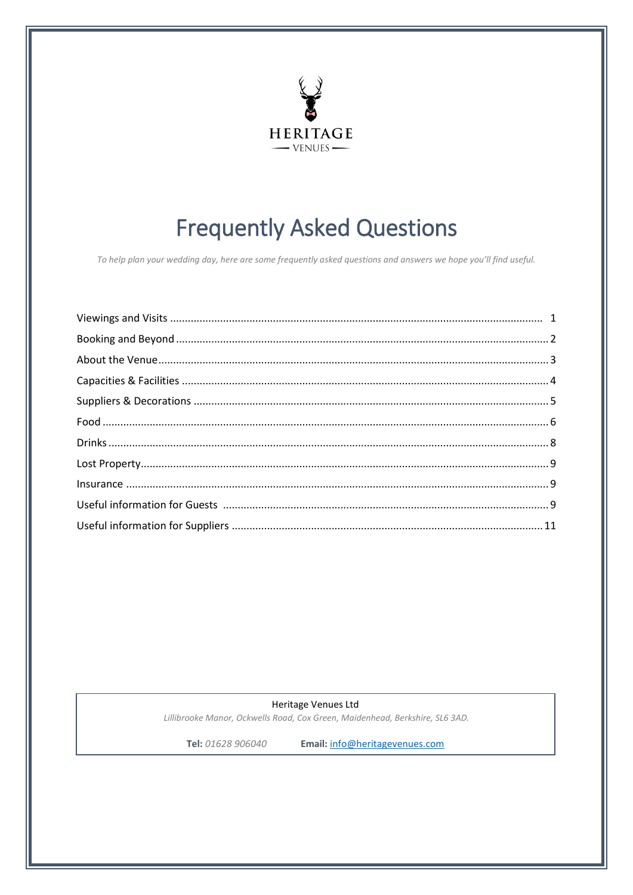

# **Frequently Asked Questions**

To help plan your wedding day, here are some frequently asked questions and answers we hope you'll find useful.

Heritage Venues Ltd Lillibrooke Manor, Ockwells Road, Cox Green, Maidenhead, Berkshire, SL6 3AD.

Tel: 01628 906040

Email: info@heritagevenues.com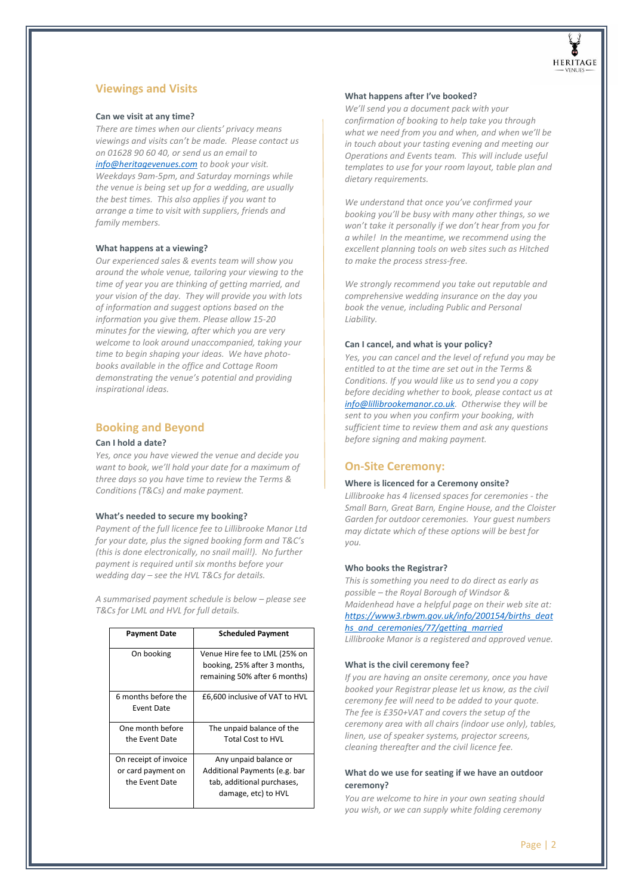

# **Viewings and Visits**

# **Can we visit at any time?**

*There are times when our clients' privacy means viewings and visits can't be made. Please contact us on 01628 90 60 40, or send us an email to [info@heritagevenues.com t](mailto:info@heritagevenues.com)o book your visit. Weekdays 9am-5pm, and Saturday mornings while the venue is being set up for a wedding, are usually the best times. This also applies if you want to arrange a time to visit with suppliers, friends and family members.* 

## **What happens at a viewing?**

*Our experienced sales & events team will show you around the whole venue, tailoring your viewing to the time of year you are thinking of getting married, and your vision of the day. They will provide you with lots of information and suggest options based on the information you give them. Please allow 15-20 minutes for the viewing, after which you are very welcome to look around unaccompanied, taking your time to begin shaping your ideas. We have photobooks available in the office and Cottage Room demonstrating the venue's potential and providing inspirational ideas.* 

# <span id="page-1-0"></span>**Booking and Beyond**

## **Can I hold a date?**

*Yes, once you have viewed the venue and decide you want to book, we'll hold your date for a maximum of three days so you have time to review the Terms & Conditions (T&Cs) and make payment.* 

## **What's needed to secure my booking?**

*Payment of the full licence fee to Lillibrooke Manor Ltd for your date, plus the signed booking form and T&C's (this is done electronically, no snail mail!). No further payment is required until six months before your wedding day – see the HVL T&Cs for details.* 

*A summarised payment schedule is below – please see T&Cs for LML and HVL for full details.* 

| <b>Payment Date</b>                                           | <b>Scheduled Payment</b>                                                                                    |  |
|---------------------------------------------------------------|-------------------------------------------------------------------------------------------------------------|--|
| On booking                                                    | Venue Hire fee to LML (25% on<br>booking, 25% after 3 months,<br>remaining 50% after 6 months)              |  |
| 6 months before the<br>Event Date                             | £6,600 inclusive of VAT to HVL                                                                              |  |
| One month before<br>the Event Date                            | The unpaid balance of the<br><b>Total Cost to HVL</b>                                                       |  |
| On receipt of invoice<br>or card payment on<br>the Event Date | Any unpaid balance or<br>Additional Payments (e.g. bar<br>tab, additional purchases,<br>damage, etc) to HVL |  |

#### **What happens after I've booked?**

*We'll send you a document pack with your confirmation of booking to help take you through what we need from you and when, and when we'll be in touch about your tasting evening and meeting our Operations and Events team. This will include useful templates to use for your room layout, table plan and dietary requirements.* 

*We understand that once you've confirmed your booking you'll be busy with many other things, so we won't take it personally if we don't hear from you for a while! In the meantime, we recommend using the excellent planning tools on web sites such as Hitched to make the process stress-free.* 

*We strongly recommend you take out reputable and comprehensive wedding insurance on the day you book the venue, including Public and Personal Liability.* 

#### **Can I cancel, and what is your policy?**

*Yes, you can cancel and the level of refund you may be entitled to at the time are set out in the Terms & Conditions. If you would like us to send you a copy before deciding whether to book, please contact us at [info@lillibrookemanor.co.uk.](mailto:info@lillibrookemanor.co.uk) Otherwise they will be sent to you when you confirm your booking, with sufficient time to review them and ask any questions before signing and making payment.* 

# **On-Site Ceremony:**

## **Where is licenced for a Ceremony onsite?**

*Lillibrooke has 4 licensed spaces for ceremonies - the Small Barn, Great Barn, Engine House, and the Cloister Garden for outdoor ceremonies. Your guest numbers may dictate which of these options will be best for you.*

#### **Who books the Registrar?**

*This is something you need to do direct as early as possible – the Royal Borough of Windsor & Maidenhead have a helpful page on their web site at: [https://www3.rbwm.gov.uk/info/200154/births\\_deat](https://www3.rbwm.gov.uk/info/200154/births_deaths_and_ceremonies/77/getting_married) [hs\\_and\\_ceremonies/77/getting\\_married](https://www3.rbwm.gov.uk/info/200154/births_deaths_and_ceremonies/77/getting_married) Lillibrooke Manor is a registered and approved venue.* 

#### **What is the civil ceremony fee?**

*If you are having an onsite ceremony, once you have booked your Registrar please let us know, as the civil ceremony fee will need to be added to your quote. The fee is £350+VAT and covers the setup of the ceremony area with all chairs (indoor use only), tables, linen, use of speaker systems, projector screens, cleaning thereafter and the civil licence fee.* 

# **What do we use for seating if we have an outdoor ceremony?**

*You are welcome to hire in your own seating should you wish, or we can supply white folding ceremony*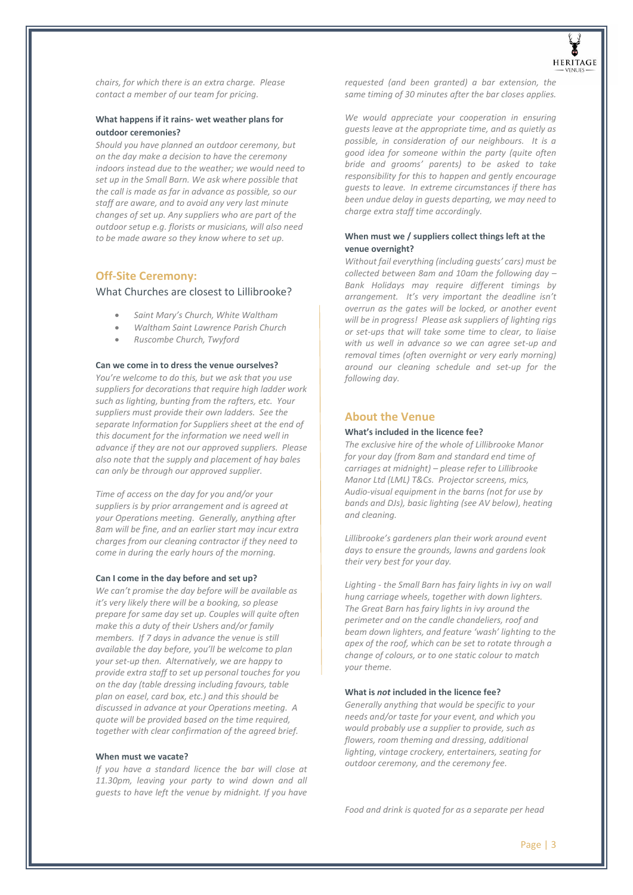

*chairs, for which there is an extra charge. Please contact a member of our team for pricing.*

# **What happens if it rains- wet weather plans for outdoor ceremonies?**

*Should you have planned an outdoor ceremony, but on the day make a decision to have the ceremony indoors instead due to the weather; we would need to set up in the Small Barn. We ask where possible that the call is made as far in advance as possible, so our staff are aware, and to avoid any very last minute changes of set up. Any suppliers who are part of the outdoor setup e.g. florists or musicians, will also need to be made aware so they know where to set up.* 

# **Off-Site Ceremony:**

What Churches are closest to Lillibrooke?

- *Saint Mary's Church, White Waltham*
- *Waltham Saint Lawrence Parish Church*
- *Ruscombe Church, Twyford*

# **Can we come in to dress the venue ourselves?**

*You're welcome to do this, but we ask that you use suppliers for decorations that require high ladder work such as lighting, bunting from the rafters, etc. Your suppliers must provide their own ladders. See the separate Information for Suppliers sheet at the end of this document for the information we need well in advance if they are not our approved suppliers. Please also note that the supply and placement of hay bales can only be through our approved supplier.* 

*Time of access on the day for you and/or your suppliers is by prior arrangement and is agreed at your Operations meeting. Generally, anything after 8am will be fine, and an earlier start may incur extra charges from our cleaning contractor if they need to come in during the early hours of the morning.* 

#### **Can I come in the day before and set up?**

*We can't promise the day before will be available as it's very likely there will be a booking, so please prepare for same day set up. Couples will quite often make this a duty of their Ushers and/or family members. If 7 days in advance the venue is still available the day before, you'll be welcome to plan your set-up then. Alternatively, we are happy to provide extra staff to set up personal touches for you on the day (table dressing including favours, table plan on easel, card box, etc.) and this should be discussed in advance at your Operations meeting. A quote will be provided based on the time required, together with clear confirmation of the agreed brief.* 

#### **When must we vacate?**

*If you have a standard licence the bar will close at 11.30pm, leaving your party to wind down and all guests to have left the venue by midnight. If you have* 

*requested (and been granted) a bar extension, the same timing of 30 minutes after the bar closes applies.* 

*We would appreciate your cooperation in ensuring guests leave at the appropriate time, and as quietly as possible, in consideration of our neighbours. It is a good idea for someone within the party (quite often bride and grooms' parents) to be asked to take responsibility for this to happen and gently encourage guests to leave. In extreme circumstances if there has been undue delay in guests departing, we may need to charge extra staff time accordingly.* 

# **When must we / suppliers collect things left at the venue overnight?**

*Without fail everything (including guests' cars) must be collected between 8am and 10am the following day – Bank Holidays may require different timings by arrangement. It's very important the deadline isn't overrun as the gates will be locked, or another event will be in progress! Please ask suppliers of lighting rigs or set-ups that will take some time to clear, to liaise with us well in advance so we can agree set-up and removal times (often overnight or very early morning) around our cleaning schedule and set-up for the following day.* 

# <span id="page-2-0"></span>**About the Venue**

#### **What's included in the licence fee?**

*The exclusive hire of the whole of Lillibrooke Manor for your day (from 8am and standard end time of carriages at midnight) – please refer to Lillibrooke Manor Ltd (LML) T&Cs. Projector screens, mics, Audio-visual equipment in the barns (not for use by bands and DJs), basic lighting (see AV below), heating and cleaning.* 

*Lillibrooke's gardeners plan their work around event days to ensure the grounds, lawns and gardens look their very best for your day.* 

*Lighting - the Small Barn has fairy lights in ivy on wall hung carriage wheels, together with down lighters. The Great Barn has fairy lights in ivy around the perimeter and on the candle chandeliers, roof and beam down lighters, and feature 'wash' lighting to the apex of the roof, which can be set to rotate through a change of colours, or to one static colour to match your theme.* 

#### **What is** *not* **included in the licence fee?**

*Generally anything that would be specific to your needs and/or taste for your event, and which you would probably use a supplier to provide, such as flowers, room theming and dressing, additional lighting, vintage crockery, entertainers, seating for outdoor ceremony, and the ceremony fee.* 

*Food and drink is quoted for as a separate per head*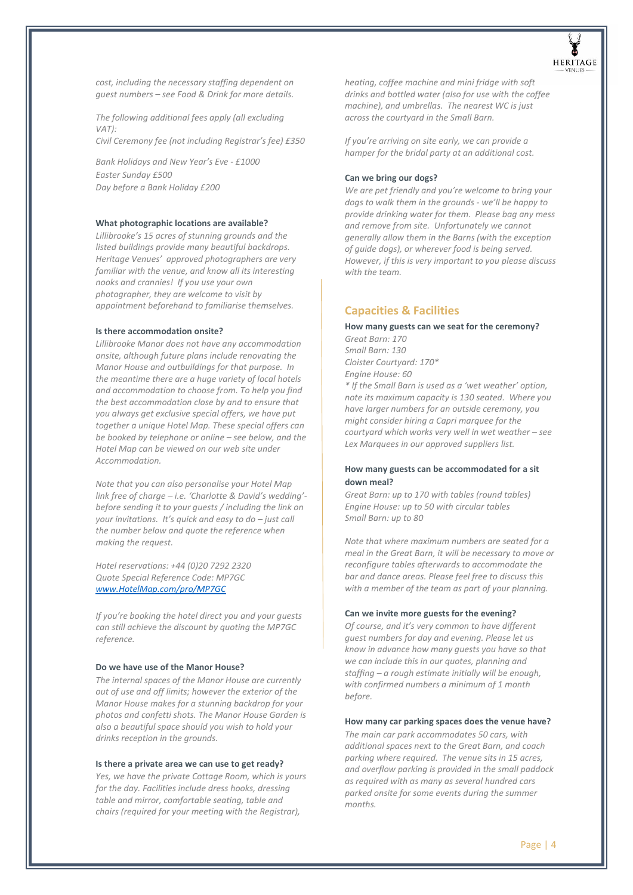

*cost, including the necessary staffing dependent on guest numbers – see Food & Drink for more details.* 

*The following additional fees apply (all excluding VAT): Civil Ceremony fee (not including Registrar's fee) £350*

*Bank Holidays and New Year's Eve - £1000 Easter Sunday £500 Day before a Bank Holiday £200* 

#### **What photographic locations are available?**

*Lillibrooke's 15 acres of stunning grounds and the listed buildings provide many beautiful backdrops. Heritage Venues' approved photographers are very familiar with the venue, and know all its interesting nooks and crannies! If you use your own photographer, they are welcome to visit by appointment beforehand to familiarise themselves.* 

#### **Is there accommodation onsite?**

*Lillibrooke Manor does not have any accommodation onsite, although future plans include renovating the Manor House and outbuildings for that purpose. In the meantime there are a huge variety of local hotels and accommodation to choose from. To help you find the best accommodation close by and to ensure that you always get exclusive special offers, we have put together a unique Hotel Map. These special offers can be booked by telephone or online – see below, and the Hotel Map can be viewed on our web site under Accommodation.* 

*Note that you can also personalise your Hotel Map link free of charge – i.e. 'Charlotte & David's wedding' before sending it to your guests / including the link on your invitations. It's quick and easy to do – just call the number below and quote the reference when making the request.* 

*Hotel reservations: +44 (0)20 7292 2320 Quote Special Reference Code: MP7GC [www.HotelMap.com/pro/MP7GC](http://www.hotelmap.com/pro/MP7GC)*

*If you're booking the hotel direct you and your guests can still achieve the discount by quoting the MP7GC reference.* 

#### **Do we have use of the Manor House?**

*The internal spaces of the Manor House are currently out of use and off limits; however the exterior of the Manor House makes for a stunning backdrop for your photos and confetti shots. The Manor House Garden is also a beautiful space should you wish to hold your drinks reception in the grounds.* 

#### **Is there a private area we can use to get ready?**

*Yes, we have the private Cottage Room, which is yours for the day. Facilities include dress hooks, dressing table and mirror, comfortable seating, table and chairs (required for your meeting with the Registrar),* 

*heating, coffee machine and mini fridge with soft drinks and bottled water (also for use with the coffee machine), and umbrellas. The nearest WC is just across the courtyard in the Small Barn.* 

*If you're arriving on site early, we can provide a hamper for the bridal party at an additional cost.* 

#### **Can we bring our dogs?**

<span id="page-3-0"></span>*We are pet friendly and you're welcome to bring your dogs to walk them in the grounds - we'll be happy to provide drinking water for them. Please bag any mess and remove from site. Unfortunately we cannot generally allow them in the Barns (with the exception of guide dogs), or wherever food is being served. However, if this is very important to you please discuss with the team.* 

# **Capacities & Facilities**

# **How many guests can we seat for the ceremony?**

*Great Barn: 170 Small Barn: 130 Cloister Courtyard: 170\* Engine House: 60* 

*\* If the Small Barn is used as a 'wet weather' option, note its maximum capacity is 130 seated. Where you have larger numbers for an outside ceremony, you might consider hiring a Capri marquee for the courtyard which works very well in wet weather – see Lex Marquees in our approved suppliers list.* 

# **How many guests can be accommodated for a sit down meal?**

*Great Barn: up to 170 with tables (round tables) Engine House: up to 50 with circular tables Small Barn: up to 80* 

*Note that where maximum numbers are seated for a meal in the Great Barn, it will be necessary to move or reconfigure tables afterwards to accommodate the bar and dance areas. Please feel free to discuss this with a member of the team as part of your planning.* 

#### **Can we invite more guests for the evening?**

*Of course, and it's very common to have different guest numbers for day and evening. Please let us know in advance how many guests you have so that we can include this in our quotes, planning and staffing – a rough estimate initially will be enough, with confirmed numbers a minimum of 1 month before.* 

#### **How many car parking spaces does the venue have?**

*The main car park accommodates 50 cars, with additional spaces next to the Great Barn, and coach parking where required. The venue sits in 15 acres, and overflow parking is provided in the small paddock as required with as many as several hundred cars parked onsite for some events during the summer months.*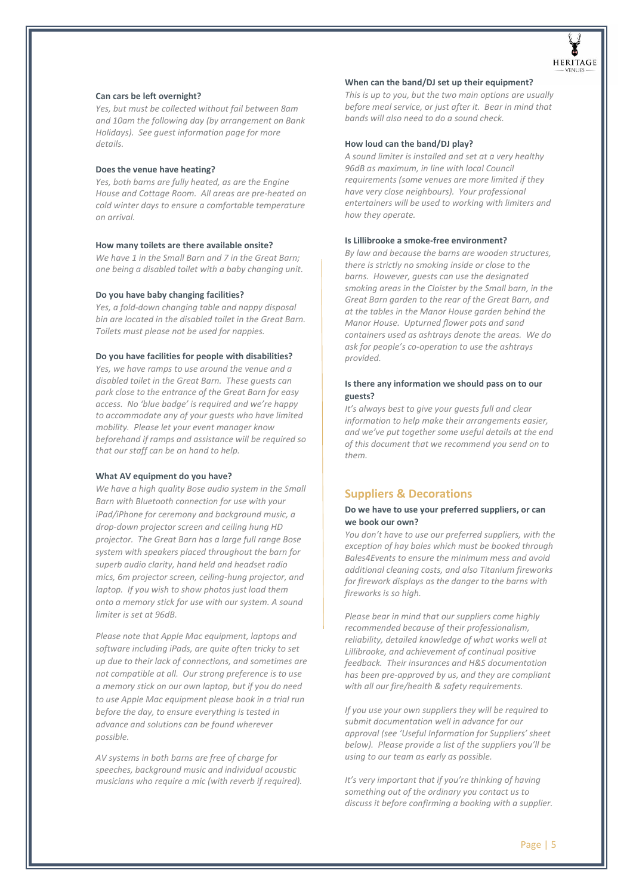

#### **Can cars be left overnight?**

*Yes, but must be collected without fail between 8am and 10am the following day (by arrangement on Bank Holidays). See guest information page for more details.*

## **Does the venue have heating?**

*Yes, both barns are fully heated, as are the Engine House and Cottage Room. All areas are pre-heated on cold winter days to ensure a comfortable temperature on arrival.* 

#### **How many toilets are there available onsite?**

*We have 1 in the Small Barn and 7 in the Great Barn; one being a disabled toilet with a baby changing unit.* 

#### **Do you have baby changing facilities?**

*Yes, a fold-down changing table and nappy disposal bin are located in the disabled toilet in the Great Barn. Toilets must please not be used for nappies.* 

# **Do you have facilities for people with disabilities?**

*Yes, we have ramps to use around the venue and a disabled toilet in the Great Barn. These guests can park close to the entrance of the Great Barn for easy access. No 'blue badge' is required and we're happy to accommodate any of your guests who have limited mobility. Please let your event manager know beforehand if ramps and assistance will be required so that our staff can be on hand to help.* 

#### **What AV equipment do you have?**

*We have a high quality Bose audio system in the Small Barn with Bluetooth connection for use with your iPad/iPhone for ceremony and background music, a drop-down projector screen and ceiling hung HD projector. The Great Barn has a large full range Bose system with speakers placed throughout the barn for superb audio clarity, hand held and headset radio mics, 6m projector screen, ceiling-hung projector, and laptop. If you wish to show photos just load them onto a memory stick for use with our system. A sound limiter is set at 96dB.* 

*Please note that Apple Mac equipment, laptops and software including iPads, are quite often tricky to set up due to their lack of connections, and sometimes are not compatible at all. Our strong preference is to use a memory stick on our own laptop, but if you do need to use Apple Mac equipment please book in a trial run before the day, to ensure everything is tested in advance and solutions can be found wherever possible.* 

*AV systems in both barns are free of charge for speeches, background music and individual acoustic musicians who require a mic (with reverb if required).* 

#### **When can the band/DJ set up their equipment?**

*This is up to you, but the two main options are usually before meal service, or just after it. Bear in mind that bands will also need to do a sound check.* 

#### **How loud can the band/DJ play?**

*A sound limiter is installed and set at a very healthy 96dB as maximum, in line with local Council requirements (some venues are more limited if they have very close neighbours). Your professional entertainers will be used to working with limiters and how they operate.* 

#### **Is Lillibrooke a smoke-free environment?**

*By law and because the barns are wooden structures, there is strictly no smoking inside or close to the barns. However, guests can use the designated smoking areas in the Cloister by the Small barn, in the Great Barn garden to the rear of the Great Barn, and at the tables in the Manor House garden behind the Manor House. Upturned flower pots and sand containers used as ashtrays denote the areas. We do ask for people's co-operation to use the ashtrays provided.* 

# **Is there any information we should pass on to our guests?**

*It's always best to give your guests full and clear information to help make their arrangements easier, and we've put together some useful details at the end of this document that we recommend you send on to them.* 

# <span id="page-4-0"></span>**Suppliers & Decorations**

# **Do we have to use your preferred suppliers, or can we book our own?**

*You don't have to use our preferred suppliers, with the exception of hay bales which must be booked through Bales4Events to ensure the minimum mess and avoid additional cleaning costs, and also Titanium fireworks for firework displays as the danger to the barns with fireworks is so high.* 

*Please bear in mind that our suppliers come highly recommended because of their professionalism, reliability, detailed knowledge of what works well at Lillibrooke, and achievement of continual positive feedback. Their insurances and H&S documentation has been pre-approved by us, and they are compliant with all our fire/health & safety requirements.* 

*If you use your own suppliers they will be required to submit documentation well in advance for our approval (see 'Useful Information for Suppliers' sheet below). Please provide a list of the suppliers you'll be using to our team as early as possible.* 

*It's very important that if you're thinking of having something out of the ordinary you contact us to discuss it before confirming a booking with a supplier.*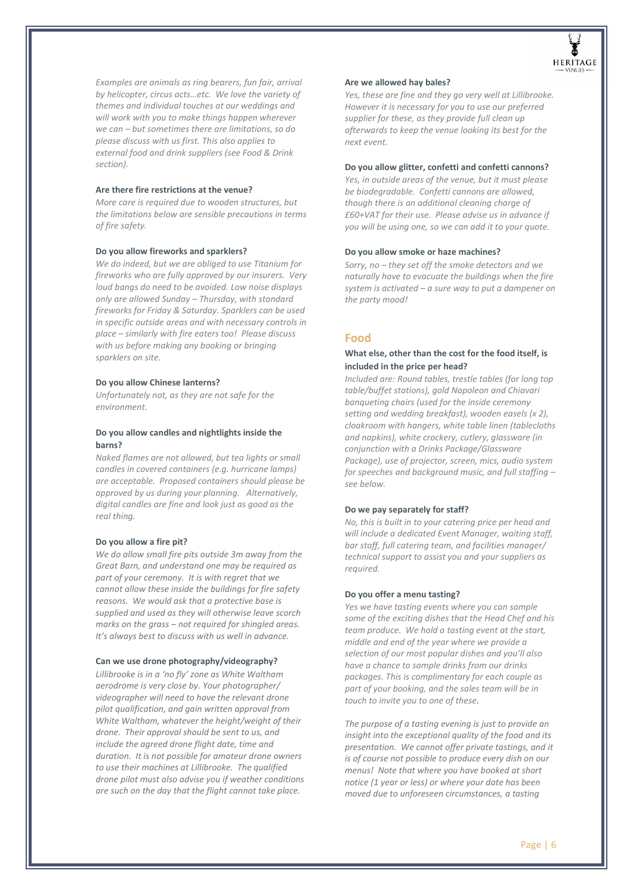

*Examples are animals as ring bearers, fun fair, arrival by helicopter, circus acts…etc. We love the variety of themes and individual touches at our weddings and will work with you to make things happen wherever we can – but sometimes there are limitations, so do please discuss with us first. This also applies to external food and drink suppliers (see Food & Drink section).* 

## **Are there fire restrictions at the venue?**

*More care is required due to wooden structures, but the limitations below are sensible precautions in terms of fire safety.* 

# **Do you allow fireworks and sparklers?**

*We do indeed, but we are obliged to use Titanium for fireworks who are fully approved by our insurers. Very loud bangs do need to be avoided. Low noise displays only are allowed Sunday – Thursday, with standard fireworks for Friday & Saturday. Sparklers can be used in specific outside areas and with necessary controls in place – similarly with fire eaters too! Please discuss with us before making any booking or bringing sparklers on site.* 

# **Do you allow Chinese lanterns?**

*Unfortunately not, as they are not safe for the environment.*

# **Do you allow candles and nightlights inside the barns?**

*Naked flames are not allowed, but tea lights or small candles in covered containers (e.g. hurricane lamps) are acceptable. Proposed containers should please be approved by us during your planning. Alternatively, digital candles are fine and look just as good as the real thing.* 

#### **Do you allow a fire pit?**

*We do allow small fire pits outside 3m away from the Great Barn, and understand one may be required as part of your ceremony. It is with regret that we cannot allow these inside the buildings for fire safety reasons. We would ask that a protective base is supplied and used as they will otherwise leave scorch marks on the grass – not required for shingled areas. It's always best to discuss with us well in advance.*

#### **Can we use drone photography/videography?**

*Lillibrooke is in a 'no fly' zone as White Waltham aerodrome is very close by. Your photographer/ videographer will need to have the relevant drone pilot qualification, and gain written approval from White Waltham, whatever the height/weight of their drone. Their approval should be sent to us, and include the agreed drone flight date, time and duration. It is not possible for amateur drone owners to use their machines at Lillibrooke. The qualified drone pilot must also advise you if weather conditions are such on the day that the flight cannot take place.* 

#### **Are we allowed hay bales?**

*Yes, these are fine and they go very well at Lillibrooke. However it is necessary for you to use our preferred supplier for these, as they provide full clean up afterwards to keep the venue looking its best for the next event.* 

## **Do you allow glitter, confetti and confetti cannons?**

*Yes, in outside areas of the venue, but it must please be biodegradable. Confetti cannons are allowed, though there is an additional cleaning charge of £60+VAT for their use. Please advise us in advance if you will be using one, so we can add it to your quote.* 

#### **Do you allow smoke or haze machines?**

<span id="page-5-0"></span>*Sorry, no – they set off the smoke detectors and we naturally have to evacuate the buildings when the fire system is activated – a sure way to put a dampener on the party mood!* 

# **Food**

# **What else, other than the cost for the food itself, is included in the price per head?**

*Included are: Round tables, trestle tables (for long top table/buffet stations), gold Napoleon and Chiavari banqueting chairs (used for the inside ceremony setting and wedding breakfast), wooden easels (x 2), cloakroom with hangers, white table linen (tablecloths and napkins), white crockery, cutlery, glassware (in conjunction with a Drinks Package/Glassware Package), use of projector, screen, mics, audio system for speeches and background music, and full staffing – see below.* 

#### **Do we pay separately for staff?**

*No, this is built in to your catering price per head and will include a dedicated Event Manager, waiting staff, bar staff, full catering team, and facilities manager/ technical support to assist you and your suppliers as required.* 

#### **Do you offer a menu tasting?**

*Yes we have tasting events where you can sample some of the exciting dishes that the Head Chef and his team produce. We hold a tasting event at the start, middle and end of the year where we provide a selection of our most popular dishes and you'll also have a chance to sample drinks from our drinks packages. This is complimentary for each couple as part of your booking, and the sales team will be in touch to invite you to one of these.* 

*The purpose of a tasting evening is just to provide an insight into the exceptional quality of the food and its presentation. We cannot offer private tastings, and it is of course not possible to produce every dish on our menus! Note that where you have booked at short notice (1 year or less) or where your date has been moved due to unforeseen circumstances, a tasting*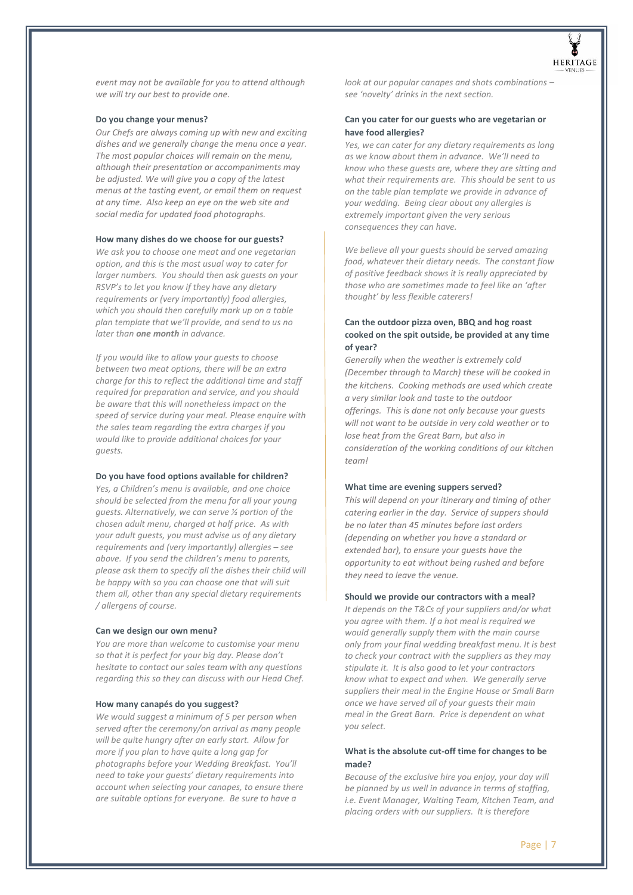

*event may not be available for you to attend although we will try our best to provide one.* 

#### **Do you change your menus?**

*Our Chefs are always coming up with new and exciting dishes and we generally change the menu once a year. The most popular choices will remain on the menu, although their presentation or accompaniments may be adjusted. We will give you a copy of the latest menus at the tasting event, or email them on request at any time. Also keep an eye on the web site and social media for updated food photographs.* 

#### **How many dishes do we choose for our guests?**

*We ask you to choose one meat and one vegetarian option, and this is the most usual way to cater for larger numbers. You should then ask guests on your RSVP's to let you know if they have any dietary requirements or (very importantly) food allergies, which you should then carefully mark up on a table plan template that we'll provide, and send to us no later than one month in advance.* 

*If you would like to allow your guests to choose between two meat options, there will be an extra charge for this to reflect the additional time and staff required for preparation and service, and you should be aware that this will nonetheless impact on the speed of service during your meal. Please enquire with the sales team regarding the extra charges if you would like to provide additional choices for your guests.* 

#### **Do you have food options available for children?**

*Yes, a Children's menu is available, and one choice should be selected from the menu for all your young guests. Alternatively, we can serve ½ portion of the chosen adult menu, charged at half price. As with your adult guests, you must advise us of any dietary requirements and (very importantly) allergies – see above. If you send the children's menu to parents, please ask them to specify all the dishes their child will be happy with so you can choose one that will suit them all, other than any special dietary requirements / allergens of course.*

#### **Can we design our own menu?**

*You are more than welcome to customise your menu so that it is perfect for your big day. Please don't hesitate to contact our sales team with any questions regarding this so they can discuss with our Head Chef.* 

# **How many canapés do you suggest?**

*We would suggest a minimum of 5 per person when served after the ceremony/on arrival as many people will be quite hungry after an early start. Allow for more if you plan to have quite a long gap for photographs before your Wedding Breakfast. You'll need to take your guests' dietary requirements into account when selecting your canapes, to ensure there are suitable options for everyone. Be sure to have a* 

*look at our popular canapes and shots combinations – see 'novelty' drinks in the next section.* 

## **Can you cater for our guests who are vegetarian or have food allergies?**

*Yes, we can cater for any dietary requirements as long as we know about them in advance. We'll need to know who these guests are, where they are sitting and what their requirements are. This should be sent to us on the table plan template we provide in advance of your wedding. Being clear about any allergies is extremely important given the very serious consequences they can have.* 

*We believe all your guests should be served amazing food, whatever their dietary needs. The constant flow of positive feedback shows it is really appreciated by those who are sometimes made to feel like an 'after thought' by less flexible caterers!* 

# **Can the outdoor pizza oven, BBQ and hog roast cooked on the spit outside, be provided at any time of year?**

*Generally when the weather is extremely cold (December through to March) these will be cooked in the kitchens. Cooking methods are used which create a very similar look and taste to the outdoor offerings. This is done not only because your guests will not want to be outside in very cold weather or to lose heat from the Great Barn, but also in consideration of the working conditions of our kitchen team!*

#### **What time are evening suppers served?**

*This will depend on your itinerary and timing of other catering earlier in the day. Service of suppers should be no later than 45 minutes before last orders (depending on whether you have a standard or extended bar), to ensure your guests have the opportunity to eat without being rushed and before they need to leave the venue.* 

## **Should we provide our contractors with a meal?**

*It depends on the T&Cs of your suppliers and/or what you agree with them. If a hot meal is required we would generally supply them with the main course only from your final wedding breakfast menu. It is best to check your contract with the suppliers as they may stipulate it. It is also good to let your contractors know what to expect and when. We generally serve suppliers their meal in the Engine House or Small Barn once we have served all of your guests their main meal in the Great Barn. Price is dependent on what you select.* 

# **What is the absolute cut-off time for changes to be made?**

*Because of the exclusive hire you enjoy, your day will be planned by us well in advance in terms of staffing, i.e. Event Manager, Waiting Team, Kitchen Team, and placing orders with our suppliers. It is therefore*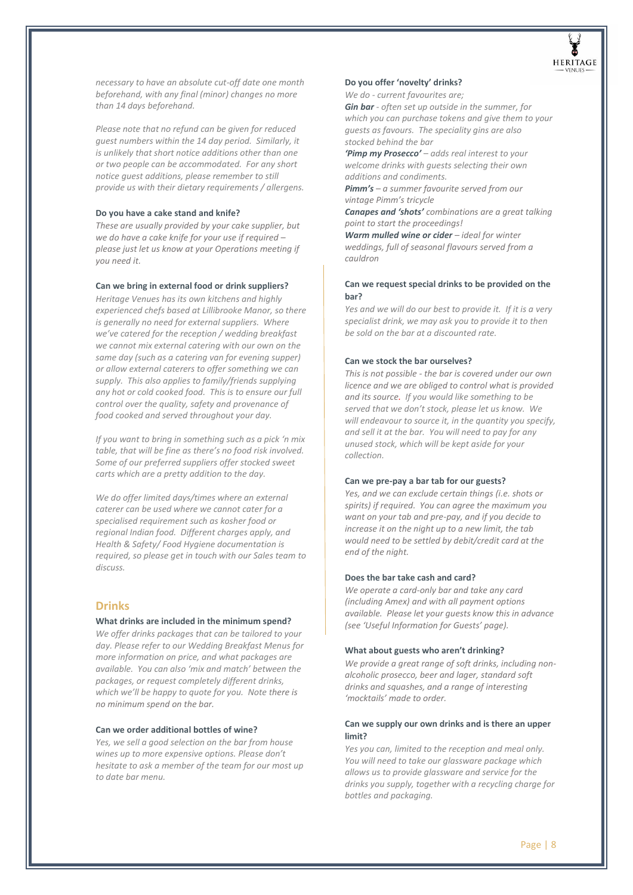

*necessary to have an absolute cut-off date one month beforehand, with any final (minor) changes no more than 14 days beforehand.* 

*Please note that no refund can be given for reduced guest numbers within the 14 day period. Similarly, it is unlikely that short notice additions other than one or two people can be accommodated. For any short notice guest additions, please remember to still provide us with their dietary requirements / allergens.* 

# **Do you have a cake stand and knife?**

*These are usually provided by your cake supplier, but we do have a cake knife for your use if required – please just let us know at your Operations meeting if you need it.* 

## **Can we bring in external food or drink suppliers?**

*Heritage Venues has its own kitchens and highly experienced chefs based at Lillibrooke Manor, so there is generally no need for external suppliers. Where we've catered for the reception / wedding breakfast we cannot mix external catering with our own on the same day (such as a catering van for evening supper) or allow external caterers to offer something we can supply. This also applies to family/friends supplying any hot or cold cooked food. This is to ensure our full control over the quality, safety and provenance of food cooked and served throughout your day.* 

*If you want to bring in something such as a pick 'n mix table, that will be fine as there's no food risk involved. Some of our preferred suppliers offer stocked sweet carts which are a pretty addition to the day.* 

*We do offer limited days/times where an external caterer can be used where we cannot cater for a specialised requirement such as kosher food or regional Indian food. Different charges apply, and Health & Safety/ Food Hygiene documentation is required, so please get in touch with our Sales team to discuss.* 

# <span id="page-7-0"></span>**Drinks**

#### **What drinks are included in the minimum spend?**

*We offer drinks packages that can be tailored to your day. Please refer to our Wedding Breakfast Menus for more information on price, and what packages are available. You can also 'mix and match' between the packages, or request completely different drinks, which we'll be happy to quote for you. Note there is no minimum spend on the bar.*

## **Can we order additional bottles of wine?**

*Yes, we sell a good selection on the bar from house wines up to more expensive options. Please don't hesitate to ask a member of the team for our most up to date bar menu.* 

#### **Do you offer 'novelty' drinks?**

*We do - current favourites are;* 

*Gin bar - often set up outside in the summer, for which you can purchase tokens and give them to your guests as favours. The speciality gins are also stocked behind the bar* 

*'Pimp my Prosecco' – adds real interest to your welcome drinks with guests selecting their own additions and condiments.* 

*Pimm's – a summer favourite served from our vintage Pimm's tricycle* 

*Canapes and 'shots' combinations are a great talking point to start the proceedings!* 

*Warm mulled wine or cider – ideal for winter weddings, full of seasonal flavours served from a cauldron* 

# **Can we request special drinks to be provided on the bar?**

*Yes and we will do our best to provide it. If it is a very specialist drink, we may ask you to provide it to then be sold on the bar at a discounted rate.* 

## **Can we stock the bar ourselves?**

*This is not possible - the bar is covered under our own licence and we are obliged to control what is provided and its source. If you would like something to be served that we don't stock, please let us know. We will endeavour to source it, in the quantity you specify, and sell it at the bar. You will need to pay for any unused stock, which will be kept aside for your collection.*

#### **Can we pre-pay a bar tab for our guests?**

*Yes, and we can exclude certain things (i.e. shots or spirits) if required. You can agree the maximum you want on your tab and pre-pay, and if you decide to increase it on the night up to a new limit, the tab would need to be settled by debit/credit card at the end of the night.* 

#### **Does the bar take cash and card?**

*We operate a card-only bar and take any card (including Amex) and with all payment options available. Please let your guests know this in advance (see 'Useful Information for Guests' page).* 

#### **What about guests who aren't drinking?**

*We provide a great range of soft drinks, including nonalcoholic prosecco, beer and lager, standard soft drinks and squashes, and a range of interesting 'mocktails' made to order.* 

## **Can we supply our own drinks and is there an upper limit?**

*Yes you can, limited to the reception and meal only. You will need to take our glassware package which allows us to provide glassware and service for the drinks you supply, together with a recycling charge for bottles and packaging.*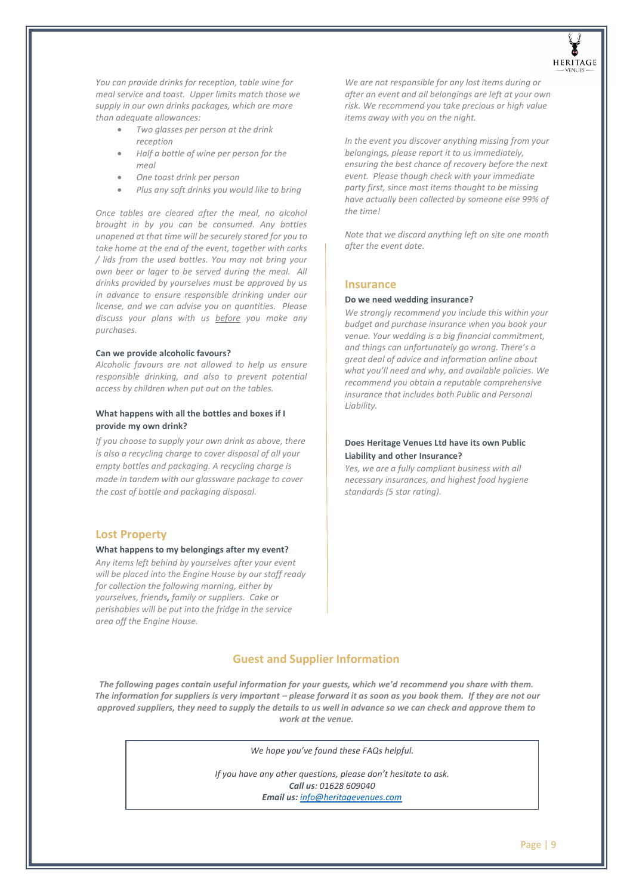

*You can provide drinks for reception, table wine for meal service and toast. Upper limits match those we supply in our own drinks packages, which are more than adequate allowances:* 

- *Two glasses per person at the drink reception*
- *Half a bottle of wine per person for the meal*
- *One toast drink per person*
- *Plus any soft drinks you would like to bring*

*Once tables are cleared after the meal, no alcohol brought in by you can be consumed. Any bottles unopened at that time will be securely stored for you to take home at the end of the event, together with corks / lids from the used bottles. You may not bring your own beer or lager to be served during the meal. All drinks provided by yourselves must be approved by us in advance to ensure responsible drinking under our license, and we can advise you on quantities. Please discuss your plans with us before you make any purchases.* 

## **Can we provide alcoholic favours?**

*Alcoholic favours are not allowed to help us ensure responsible drinking, and also to prevent potential access by children when put out on the tables.* 

# **What happens with all the bottles and boxes if I provide my own drink?**

*If you choose to supply your own drink as above, there is also a recycling charge to cover disposal of all your empty bottles and packaging. A recycling charge is made in tandem with our glassware package to cover the cost of bottle and packaging disposal.* 

# <span id="page-8-0"></span>**Lost Property**

#### **What happens to my belongings after my event?**

*Any items left behind by yourselves after your event will be placed into the Engine House by our staff ready for collection the following morning, either by yourselves, friends, family or suppliers. Cake or perishables will be put into the fridge in the service area off the Engine House.* 

*We are not responsible for any lost items during or after an event and all belongings are left at your own risk. We recommend you take precious or high value items away with you on the night.* 

*In the event you discover anything missing from your belongings, please report it to us immediately, ensuring the best chance of recovery before the next event. Please though check with your immediate party first, since most items thought to be missing have actually been collected by someone else 99% of the time!* 

*Note that we discard anything left on site one month after the event date.* 

# <span id="page-8-1"></span>**Insurance**

# **Do we need wedding insurance?**

*We strongly recommend you include this within your budget and purchase insurance when you book your venue. Your wedding is a big financial commitment, and things can unfortunately go wrong. There's a great deal of advice and information online about what you'll need and why, and available policies. We recommend you obtain a reputable comprehensive insurance that includes both Public and Personal Liability.* 

## **Does Heritage Venues Ltd have its own Public Liability and other Insurance?**

*Yes, we are a fully compliant business with all necessary insurances, and highest food hygiene standards (5 star rating).* 

# **Guest and Supplier Information**

<span id="page-8-2"></span>The following pages contain useful information for your guests, which we'd recommend you share with them. The information for suppliers is very important – please forward it as soon as you book them. If they are not our *approved suppliers, they need to supply the details to us well in advance so we can check and approve them to work at the venue.* 

*We hope you've found these FAQs helpful.*

*If you have any other questions, please don't hesitate to ask. Call us: 01628 609040 Email us: [info@heritagevenues.com](mailto:info@heritagevenues.com)*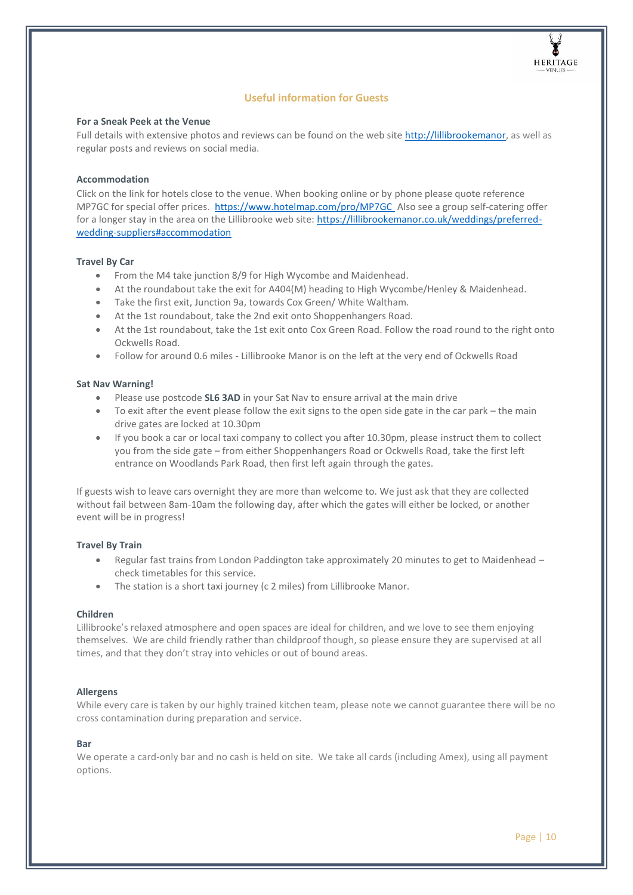

# **Useful information for Guests**

# **For a Sneak Peek at the Venue**

Full details with extensive photos and reviews can be found on the web site [http://lillibrookemanor,](http://lillibrookemanor/) as well as regular posts and reviews on social media.

# **Accommodation**

Click on the link for hotels close to the venue. When booking online or by phone please quote reference MP7GC for special offer prices. <https://www.hotelmap.com/pro/MP7GC> Also see a group self-catering offer for a longer stay in the area on the Lillibrooke web site: [https://lillibrookemanor.co.uk/weddings/preferred](https://lillibrookemanor.co.uk/weddings/preferred-wedding-suppliers#accommodation)[wedding-suppliers#accommodation](https://lillibrookemanor.co.uk/weddings/preferred-wedding-suppliers#accommodation)

# **Travel By Car**

- From the M4 take junction 8/9 for High Wycombe and Maidenhead.
- At the roundabout take the exit for A404(M) heading to High Wycombe/Henley & Maidenhead.
- Take the first exit, Junction 9a, towards Cox Green/ White Waltham.
- At the 1st roundabout, take the 2nd exit onto Shoppenhangers Road.
- At the 1st roundabout, take the 1st exit onto Cox Green Road. Follow the road round to the right onto Ockwells Road.
- Follow for around 0.6 miles Lillibrooke Manor is on the left at the very end of Ockwells Road

# **Sat Nav Warning!**

- Please use postcode **SL6 3AD** in your Sat Nav to ensure arrival at the main drive
- To exit after the event please follow the exit signs to the open side gate in the car park the main drive gates are locked at 10.30pm
- If you book a car or local taxi company to collect you after 10.30pm, please instruct them to collect you from the side gate – from either Shoppenhangers Road or Ockwells Road, take the first left entrance on Woodlands Park Road, then first left again through the gates.

If guests wish to leave cars overnight they are more than welcome to. We just ask that they are collected without fail between 8am-10am the following day, after which the gates will either be locked, or another event will be in progress!

# **Travel By Train**

- Regular fast trains from London Paddington take approximately 20 minutes to get to Maidenhead check timetables for this service.
- The station is a short taxi journey (c 2 miles) from Lillibrooke Manor.

# **Children**

Lillibrooke's relaxed atmosphere and open spaces are ideal for children, and we love to see them enjoying themselves. We are child friendly rather than childproof though, so please ensure they are supervised at all times, and that they don't stray into vehicles or out of bound areas.

# **Allergens**

While every care is taken by our highly trained kitchen team, please note we cannot guarantee there will be no cross contamination during preparation and service.

# **Bar**

<span id="page-9-0"></span>We operate a card-only bar and no cash is held on site. We take all cards (including Amex), using all payment options.